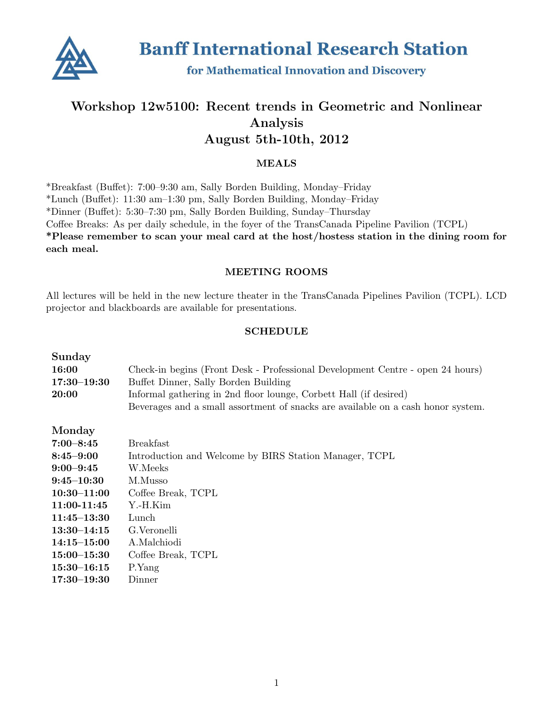

**Banff International Research Station** 

for Mathematical Innovation and Discovery

# Workshop 12w5100: Recent trends in Geometric and Nonlinear Analysis August 5th-10th, 2012

### MEALS

\*Breakfast (Buffet): 7:00–9:30 am, Sally Borden Building, Monday–Friday \*Lunch (Buffet): 11:30 am–1:30 pm, Sally Borden Building, Monday–Friday \*Dinner (Buffet): 5:30–7:30 pm, Sally Borden Building, Sunday–Thursday Coffee Breaks: As per daily schedule, in the foyer of the TransCanada Pipeline Pavilion (TCPL) \*Please remember to scan your meal card at the host/hostess station in the dining room for each meal.

## MEETING ROOMS

All lectures will be held in the new lecture theater in the TransCanada Pipelines Pavilion (TCPL). LCD projector and blackboards are available for presentations.

#### **SCHEDULE**

| Sunday          |                                                                                  |
|-----------------|----------------------------------------------------------------------------------|
| 16:00           | Check-in begins (Front Desk - Professional Development Centre - open 24 hours)   |
| $17:30 - 19:30$ | Buffet Dinner, Sally Borden Building                                             |
| 20:00           | Informal gathering in 2nd floor lounge, Corbett Hall (if desired)                |
|                 | Beverages and a small assortment of snacks are available on a cash honor system. |
| Monday          |                                                                                  |
| $7:00 - 8:45$   | <b>Breakfast</b>                                                                 |
| $8:45 - 9:00$   | Introduction and Welcome by BIRS Station Manager, TCPL                           |
| $9:00 - 9:45$   | W.Meeks                                                                          |
| $9:45 - 10:30$  | M.Musso                                                                          |
| $10:30 - 11:00$ | Coffee Break, TCPL                                                               |
| 11:00-11:45     | Y.-H.Kim                                                                         |
| $11:45 - 13:30$ | Lunch                                                                            |
| $13:30 - 14:15$ | G. Veronelli                                                                     |
| $14:15 - 15:00$ | A.Malchiodi                                                                      |
| $15:00 - 15:30$ | Coffee Break, TCPL                                                               |
| $15:30 - 16:15$ | P.Yang                                                                           |
| $17:30 - 19:30$ | Dinner                                                                           |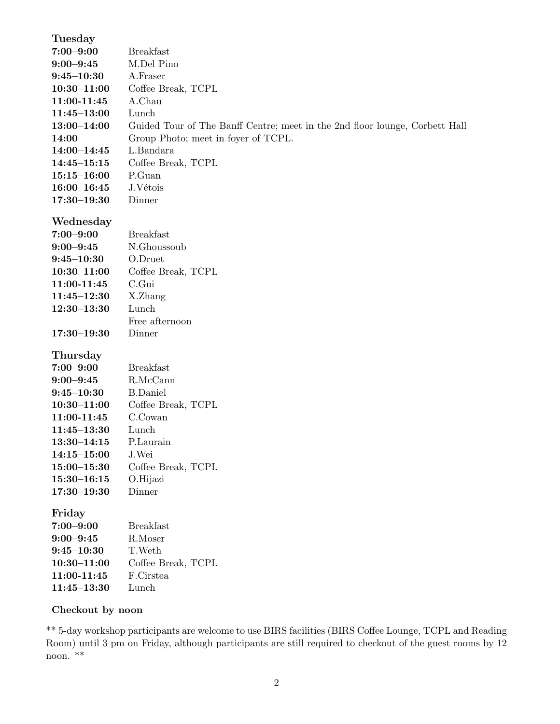| Tuesday         |                                                                             |
|-----------------|-----------------------------------------------------------------------------|
| $7:00 - 9:00$   | <b>Breakfast</b>                                                            |
| $9:00 - 9:45$   | M.Del Pino                                                                  |
| $9:45 - 10:30$  | A.Fraser                                                                    |
| $10:30 - 11:00$ | Coffee Break, TCPL                                                          |
| 11:00-11:45     | A.Chau                                                                      |
| $11:45 - 13:00$ | Lunch                                                                       |
| $13:00 - 14:00$ | Guided Tour of The Banff Centre; meet in the 2nd floor lounge, Corbett Hall |
| 14:00           | Group Photo; meet in foyer of TCPL.                                         |
| $14:00 - 14:45$ | L.Bandara                                                                   |
| $14:45 - 15:15$ | Coffee Break, TCPL                                                          |
| $15:15 - 16:00$ | P.Guan                                                                      |
| $16:00 - 16:45$ | J.Vétois                                                                    |
| $17:30 - 19:30$ | Dinner                                                                      |
|                 |                                                                             |
| Wednesday       |                                                                             |
| $7:00 - 9:00$   | <b>Breakfast</b>                                                            |
| $9:00 - 9:45$   | N.Ghoussoub                                                                 |
| $9:45 - 10:30$  | O.Druet                                                                     |
| $10:30 - 11:00$ | Coffee Break, TCPL                                                          |
| 11:00-11:45     | C.Gui                                                                       |
| $11:45 - 12:30$ | X.Zhang                                                                     |
| $12:30 - 13:30$ | Lunch                                                                       |
|                 | Free afternoon                                                              |
| $17:30 - 19:30$ | Dinner                                                                      |
| Thursday        |                                                                             |
| $7:00 - 9:00$   | <b>Breakfast</b>                                                            |
| $9:00 - 9:45$   | R.McCann                                                                    |
| $9:45 - 10:30$  | <b>B.Daniel</b>                                                             |
| $10:30 - 11:00$ | Coffee Break, TCPL                                                          |
| 11:00-11:45     | C.Cowan                                                                     |
| $11:45 - 13:30$ | Lunch                                                                       |
| $13:30 - 14:15$ | P.Laurain                                                                   |
| $14:15 - 15:00$ | J.Wei                                                                       |
| $15:00 - 15:30$ | Coffee Break, TCPL                                                          |
| $15:30 - 16:15$ | O.Hijazi                                                                    |
| $17:30 - 19:30$ | Dinner                                                                      |
|                 |                                                                             |
| Friday          |                                                                             |
| $7:00 - 9:00$   | <b>Breakfast</b>                                                            |
| $9:00 - 9:45$   | R.Moser                                                                     |
| $9:45 - 10:30$  | T.Weth                                                                      |
| $10:30 - 11:00$ | Coffee Break, TCPL                                                          |
| 11:00-11:45     | F.Cirstea                                                                   |
| $11:45 - 13:30$ | Lunch                                                                       |

# Checkout by noon

\*\* 5-day workshop participants are welcome to use BIRS facilities (BIRS Coffee Lounge, TCPL and Reading Room) until 3 pm on Friday, although participants are still required to checkout of the guest rooms by 12 noon. \*\*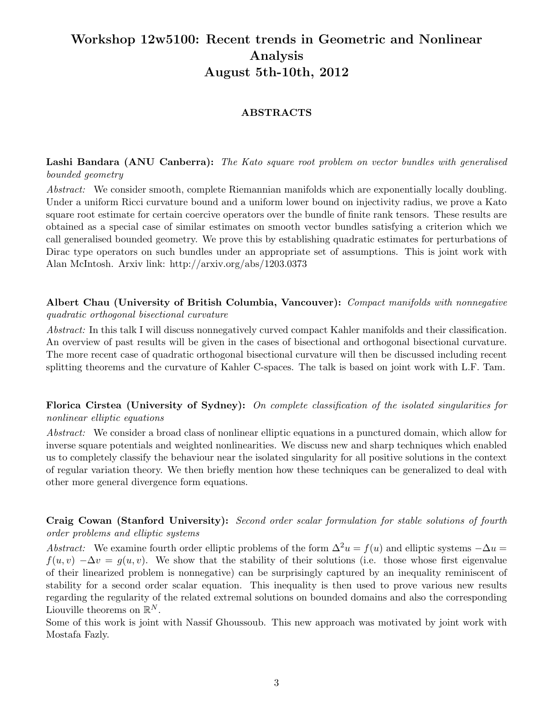# Workshop 12w5100: Recent trends in Geometric and Nonlinear Analysis August 5th-10th, 2012

### ABSTRACTS

## Lashi Bandara (ANU Canberra): The Kato square root problem on vector bundles with generalised bounded geometry

Abstract: We consider smooth, complete Riemannian manifolds which are exponentially locally doubling. Under a uniform Ricci curvature bound and a uniform lower bound on injectivity radius, we prove a Kato square root estimate for certain coercive operators over the bundle of finite rank tensors. These results are obtained as a special case of similar estimates on smooth vector bundles satisfying a criterion which we call generalised bounded geometry. We prove this by establishing quadratic estimates for perturbations of Dirac type operators on such bundles under an appropriate set of assumptions. This is joint work with Alan McIntosh. Arxiv link: http://arxiv.org/abs/1203.0373

Albert Chau (University of British Columbia, Vancouver): Compact manifolds with nonnegative quadratic orthogonal bisectional curvature

Abstract: In this talk I will discuss nonnegatively curved compact Kahler manifolds and their classification. An overview of past results will be given in the cases of bisectional and orthogonal bisectional curvature. The more recent case of quadratic orthogonal bisectional curvature will then be discussed including recent splitting theorems and the curvature of Kahler C-spaces. The talk is based on joint work with L.F. Tam.

Florica Cirstea (University of Sydney): On complete classification of the isolated singularities for nonlinear elliptic equations

Abstract: We consider a broad class of nonlinear elliptic equations in a punctured domain, which allow for inverse square potentials and weighted nonlinearities. We discuss new and sharp techniques which enabled us to completely classify the behaviour near the isolated singularity for all positive solutions in the context of regular variation theory. We then briefly mention how these techniques can be generalized to deal with other more general divergence form equations.

## Craig Cowan (Stanford University): Second order scalar formulation for stable solutions of fourth order problems and elliptic systems

Abstract: We examine fourth order elliptic problems of the form  $\Delta^2 u = f(u)$  and elliptic systems  $-\Delta u =$  $f(u, v) - \Delta v = g(u, v)$ . We show that the stability of their solutions (i.e. those whose first eigenvalue of their linearized problem is nonnegative) can be surprisingly captured by an inequality reminiscent of stability for a second order scalar equation. This inequality is then used to prove various new results regarding the regularity of the related extremal solutions on bounded domains and also the corresponding Liouville theorems on  $\mathbb{R}^N$ .

Some of this work is joint with Nassif Ghoussoub. This new approach was motivated by joint work with Mostafa Fazly.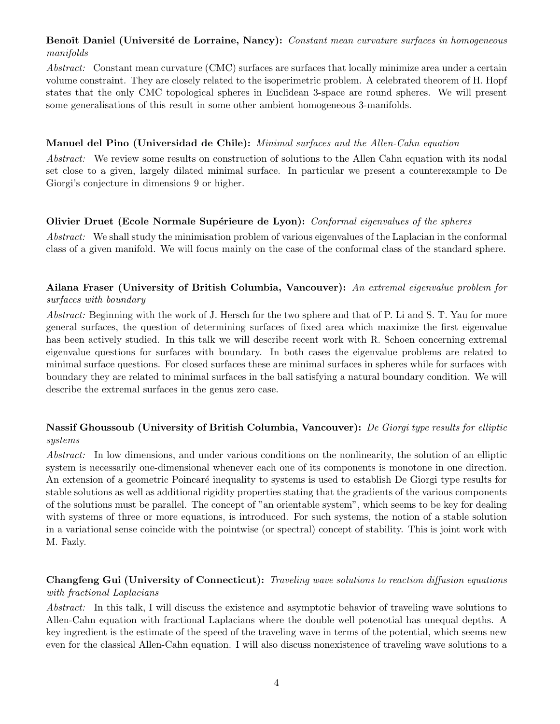# Benoît Daniel (Université de Lorraine, Nancy): Constant mean curvature surfaces in homogeneous manifolds

Abstract: Constant mean curvature (CMC) surfaces are surfaces that locally minimize area under a certain volume constraint. They are closely related to the isoperimetric problem. A celebrated theorem of H. Hopf states that the only CMC topological spheres in Euclidean 3-space are round spheres. We will present some generalisations of this result in some other ambient homogeneous 3-manifolds.

## Manuel del Pino (Universidad de Chile): Minimal surfaces and the Allen-Cahn equation

Abstract: We review some results on construction of solutions to the Allen Cahn equation with its nodal set close to a given, largely dilated minimal surface. In particular we present a counterexample to De Giorgi's conjecture in dimensions 9 or higher.

# Olivier Druet (Ecole Normale Supérieure de Lyon): Conformal eigenvalues of the spheres

Abstract: We shall study the minimisation problem of various eigenvalues of the Laplacian in the conformal class of a given manifold. We will focus mainly on the case of the conformal class of the standard sphere.

# Ailana Fraser (University of British Columbia, Vancouver): An extremal eigenvalue problem for surfaces with boundary

Abstract: Beginning with the work of J. Hersch for the two sphere and that of P. Li and S. T. Yau for more general surfaces, the question of determining surfaces of fixed area which maximize the first eigenvalue has been actively studied. In this talk we will describe recent work with R. Schoen concerning extremal eigenvalue questions for surfaces with boundary. In both cases the eigenvalue problems are related to minimal surface questions. For closed surfaces these are minimal surfaces in spheres while for surfaces with boundary they are related to minimal surfaces in the ball satisfying a natural boundary condition. We will describe the extremal surfaces in the genus zero case.

# Nassif Ghoussoub (University of British Columbia, Vancouver): De Giorgi type results for elliptic systems

Abstract: In low dimensions, and under various conditions on the nonlinearity, the solution of an elliptic system is necessarily one-dimensional whenever each one of its components is monotone in one direction. An extension of a geometric Poincaré inequality to systems is used to establish De Giorgi type results for stable solutions as well as additional rigidity properties stating that the gradients of the various components of the solutions must be parallel. The concept of "an orientable system", which seems to be key for dealing with systems of three or more equations, is introduced. For such systems, the notion of a stable solution in a variational sense coincide with the pointwise (or spectral) concept of stability. This is joint work with M. Fazly.

# Changfeng Gui (University of Connecticut): Traveling wave solutions to reaction diffusion equations with fractional Laplacians

Abstract: In this talk, I will discuss the existence and asymptotic behavior of traveling wave solutions to Allen-Cahn equation with fractional Laplacians where the double well potenotial has unequal depths. A key ingredient is the estimate of the speed of the traveling wave in terms of the potential, which seems new even for the classical Allen-Cahn equation. I will also discuss nonexistence of traveling wave solutions to a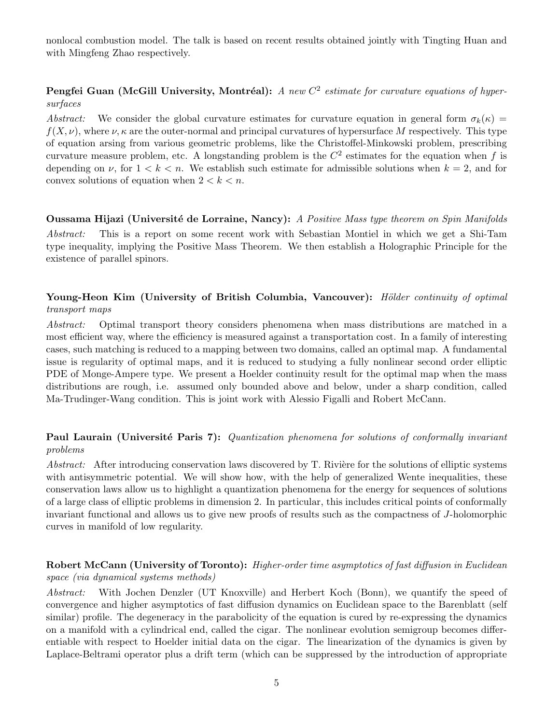nonlocal combustion model. The talk is based on recent results obtained jointly with Tingting Huan and with Mingfeng Zhao respectively.

# **Pengfei Guan (McGill University, Montréal):** A new  $C^2$  estimate for curvature equations of hypersurfaces

Abstract: We consider the global curvature estimates for curvature equation in general form  $\sigma_k(\kappa)$  =  $f(X, \nu)$ , where  $\nu, \kappa$  are the outer-normal and principal curvatures of hypersurface M respectively. This type of equation arsing from various geometric problems, like the Christoffel-Minkowski problem, prescribing curvature measure problem, etc. A longstanding problem is the  $C<sup>2</sup>$  estimates for the equation when f is depending on  $\nu$ , for  $1 < k < n$ . We establish such estimate for admissible solutions when  $k = 2$ , and for convex solutions of equation when  $2 < k < n$ .

Oussama Hijazi (Université de Lorraine, Nancy): A Positive Mass type theorem on Spin Manifolds Abstract: This is a report on some recent work with Sebastian Montiel in which we get a Shi-Tam type inequality, implying the Positive Mass Theorem. We then establish a Holographic Principle for the existence of parallel spinors.

## Young-Heon Kim (University of British Columbia, Vancouver): Hölder continuity of optimal transport maps

Abstract: Optimal transport theory considers phenomena when mass distributions are matched in a most efficient way, where the efficiency is measured against a transportation cost. In a family of interesting cases, such matching is reduced to a mapping between two domains, called an optimal map. A fundamental issue is regularity of optimal maps, and it is reduced to studying a fully nonlinear second order elliptic PDE of Monge-Ampere type. We present a Hoelder continuity result for the optimal map when the mass distributions are rough, i.e. assumed only bounded above and below, under a sharp condition, called Ma-Trudinger-Wang condition. This is joint work with Alessio Figalli and Robert McCann.

# Paul Laurain (Université Paris 7): Quantization phenomena for solutions of conformally invariant problems

Abstract: After introducing conservation laws discovered by  $T$ . Rivière for the solutions of elliptic systems with antisymmetric potential. We will show how, with the help of generalized Wente inequalities, these conservation laws allow us to highlight a quantization phenomena for the energy for sequences of solutions of a large class of elliptic problems in dimension 2. In particular, this includes critical points of conformally invariant functional and allows us to give new proofs of results such as the compactness of J-holomorphic curves in manifold of low regularity.

# Robert McCann (University of Toronto): Higher-order time asymptotics of fast diffusion in Euclidean space (via dynamical systems methods)

Abstract: With Jochen Denzler (UT Knoxville) and Herbert Koch (Bonn), we quantify the speed of convergence and higher asymptotics of fast diffusion dynamics on Euclidean space to the Barenblatt (self similar) profile. The degeneracy in the parabolicity of the equation is cured by re-expressing the dynamics on a manifold with a cylindrical end, called the cigar. The nonlinear evolution semigroup becomes differentiable with respect to Hoelder initial data on the cigar. The linearization of the dynamics is given by Laplace-Beltrami operator plus a drift term (which can be suppressed by the introduction of appropriate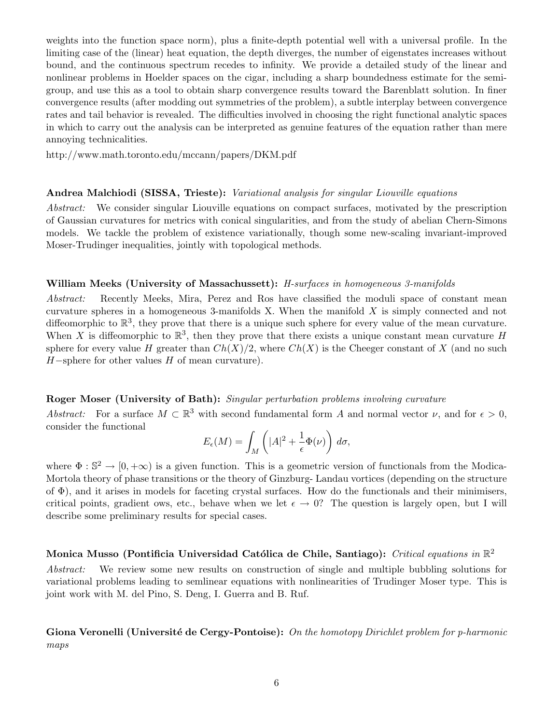weights into the function space norm), plus a finite-depth potential well with a universal profile. In the limiting case of the (linear) heat equation, the depth diverges, the number of eigenstates increases without bound, and the continuous spectrum recedes to infinity. We provide a detailed study of the linear and nonlinear problems in Hoelder spaces on the cigar, including a sharp boundedness estimate for the semigroup, and use this as a tool to obtain sharp convergence results toward the Barenblatt solution. In finer convergence results (after modding out symmetries of the problem), a subtle interplay between convergence rates and tail behavior is revealed. The difficulties involved in choosing the right functional analytic spaces in which to carry out the analysis can be interpreted as genuine features of the equation rather than mere annoying technicalities.

http://www.math.toronto.edu/mccann/papers/DKM.pdf

#### Andrea Malchiodi (SISSA, Trieste): Variational analysis for singular Liouville equations

Abstract: We consider singular Liouville equations on compact surfaces, motivated by the prescription of Gaussian curvatures for metrics with conical singularities, and from the study of abelian Chern-Simons models. We tackle the problem of existence variationally, though some new-scaling invariant-improved Moser-Trudinger inequalities, jointly with topological methods.

#### William Meeks (University of Massachussett): H-surfaces in homogeneous 3-manifolds

Abstract: Recently Meeks, Mira, Perez and Ros have classified the moduli space of constant mean curvature spheres in a homogeneous 3-manifolds X. When the manifold  $X$  is simply connected and not diffeomorphic to  $\mathbb{R}^3$ , they prove that there is a unique such sphere for every value of the mean curvature. When X is diffeomorphic to  $\mathbb{R}^3$ , then they prove that there exists a unique constant mean curvature H sphere for every value H greater than  $Ch(X)/2$ , where  $Ch(X)$  is the Cheeger constant of X (and no such  $H$ –sphere for other values  $H$  of mean curvature).

#### Roger Moser (University of Bath): Singular perturbation problems involving curvature

Abstract: For a surface  $M \subset \mathbb{R}^3$  with second fundamental form A and normal vector  $\nu$ , and for  $\epsilon > 0$ , consider the functional

$$
E_{\epsilon}(M) = \int_M \left( |A|^2 + \frac{1}{\epsilon} \Phi(\nu) \right) d\sigma,
$$

where  $\Phi : \mathbb{S}^2 \to [0, +\infty)$  is a given function. This is a geometric version of functionals from the Modica-Mortola theory of phase transitions or the theory of Ginzburg- Landau vortices (depending on the structure of  $\Phi$ ), and it arises in models for faceting crystal surfaces. How do the functionals and their minimisers, critical points, gradient ows, etc., behave when we let  $\epsilon \to 0$ ? The question is largely open, but I will describe some preliminary results for special cases.

# Monica Musso (Pontificia Universidad Católica de Chile, Santiago): Critical equations in  $\mathbb{R}^2$

Abstract: We review some new results on construction of single and multiple bubbling solutions for variational problems leading to semlinear equations with nonlinearities of Trudinger Moser type. This is joint work with M. del Pino, S. Deng, I. Guerra and B. Ruf.

Giona Veronelli (Université de Cergy-Pontoise): On the homotopy Dirichlet problem for p-harmonic maps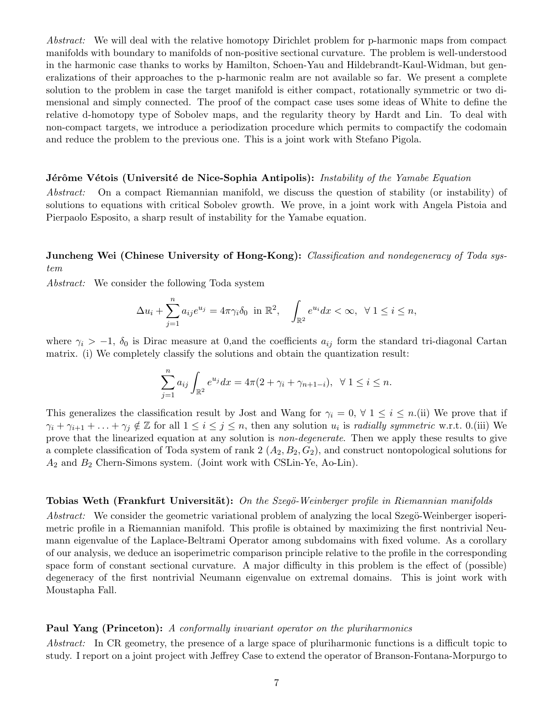Abstract: We will deal with the relative homotopy Dirichlet problem for p-harmonic maps from compact manifolds with boundary to manifolds of non-positive sectional curvature. The problem is well-understood in the harmonic case thanks to works by Hamilton, Schoen-Yau and Hildebrandt-Kaul-Widman, but generalizations of their approaches to the p-harmonic realm are not available so far. We present a complete solution to the problem in case the target manifold is either compact, rotationally symmetric or two dimensional and simply connected. The proof of the compact case uses some ideas of White to define the relative d-homotopy type of Sobolev maps, and the regularity theory by Hardt and Lin. To deal with non-compact targets, we introduce a periodization procedure which permits to compactify the codomain and reduce the problem to the previous one. This is a joint work with Stefano Pigola.

#### **J**érôme Vétois (Université de Nice-Sophia Antipolis): Instability of the Yamabe Equation

Abstract: On a compact Riemannian manifold, we discuss the question of stability (or instability) of solutions to equations with critical Sobolev growth. We prove, in a joint work with Angela Pistoia and Pierpaolo Esposito, a sharp result of instability for the Yamabe equation.

### Juncheng Wei (Chinese University of Hong-Kong): Classification and nondegeneracy of Toda system

Abstract: We consider the following Toda system

$$
\Delta u_i + \sum_{j=1}^n a_{ij} e^{u_j} = 4\pi \gamma_i \delta_0 \text{ in } \mathbb{R}^2, \quad \int_{\mathbb{R}^2} e^{u_i} dx < \infty, \ \forall \ 1 \le i \le n,
$$

where  $\gamma_i > -1$ ,  $\delta_0$  is Dirac measure at 0,and the coefficients  $a_{ij}$  form the standard tri-diagonal Cartan matrix. (i) We completely classify the solutions and obtain the quantization result:

$$
\sum_{j=1}^{n} a_{ij} \int_{\mathbb{R}^2} e^{u_j} dx = 4\pi (2 + \gamma_i + \gamma_{n+1-i}), \ \ \forall \ 1 \le i \le n.
$$

This generalizes the classification result by Jost and Wang for  $\gamma_i = 0, \forall 1 \leq i \leq n$ .(ii) We prove that if  $\gamma_i + \gamma_{i+1} + \ldots + \gamma_j \notin \mathbb{Z}$  for all  $1 \leq i \leq j \leq n$ , then any solution  $u_i$  is radially symmetric w.r.t. 0.(iii) We prove that the linearized equation at any solution is non-degenerate. Then we apply these results to give a complete classification of Toda system of rank  $2(A_2, B_2, G_2)$ , and construct nontopological solutions for  $A_2$  and  $B_2$  Chern-Simons system. (Joint work with CSLin-Ye, Ao-Lin).

#### **Tobias Weth (Frankfurt Universität):** On the Szegö-Weinberger profile in Riemannian manifolds

Abstract: We consider the geometric variational problem of analyzing the local Szegö-Weinberger isoperimetric profile in a Riemannian manifold. This profile is obtained by maximizing the first nontrivial Neumann eigenvalue of the Laplace-Beltrami Operator among subdomains with fixed volume. As a corollary of our analysis, we deduce an isoperimetric comparison principle relative to the profile in the corresponding space form of constant sectional curvature. A major difficulty in this problem is the effect of (possible) degeneracy of the first nontrivial Neumann eigenvalue on extremal domains. This is joint work with Moustapha Fall.

#### Paul Yang (Princeton): A conformally invariant operator on the pluriharmonics

Abstract: In CR geometry, the presence of a large space of pluriharmonic functions is a difficult topic to study. I report on a joint project with Jeffrey Case to extend the operator of Branson-Fontana-Morpurgo to